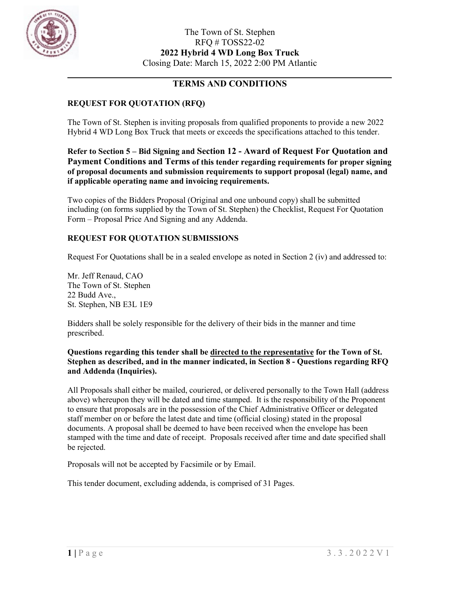

### **TERMS AND CONDITIONS**

### **REQUEST FOR QUOTATION (RFQ)**

The Town of St. Stephen is inviting proposals from qualified proponents to provide a new 2022 Hybrid 4 WD Long Box Truck that meets or exceeds the specifications attached to this tender.

**Refer to Section 5 – Bid Signing and Section 12 - Award of Request For Quotation and Payment Conditions and Terms of this tender regarding requirements for proper signing of proposal documents and submission requirements to support proposal (legal) name, and if applicable operating name and invoicing requirements.**

Two copies of the Bidders Proposal (Original and one unbound copy) shall be submitted including (on forms supplied by the Town of St. Stephen) the Checklist, Request For Quotation Form – Proposal Price And Signing and any Addenda.

#### **REQUEST FOR QUOTATION SUBMISSIONS**

Request For Quotations shall be in a sealed envelope as noted in Section 2 (iv) and addressed to:

Mr. Jeff Renaud, CAO The Town of St. Stephen 22 Budd Ave., St. Stephen, NB E3L 1E9

Bidders shall be solely responsible for the delivery of their bids in the manner and time prescribed.

#### **Questions regarding this tender shall be directed to the representative for the Town of St. Stephen as described, and in the manner indicated, in Section 8 - Questions regarding RFQ and Addenda (Inquiries).**

All Proposals shall either be mailed, couriered, or delivered personally to the Town Hall (address above) whereupon they will be dated and time stamped. It is the responsibility of the Proponent to ensure that proposals are in the possession of the Chief Administrative Officer or delegated staff member on or before the latest date and time (official closing) stated in the proposal documents. A proposal shall be deemed to have been received when the envelope has been stamped with the time and date of receipt. Proposals received after time and date specified shall be rejected.

Proposals will not be accepted by Facsimile or by Email.

This tender document, excluding addenda, is comprised of 31 Pages.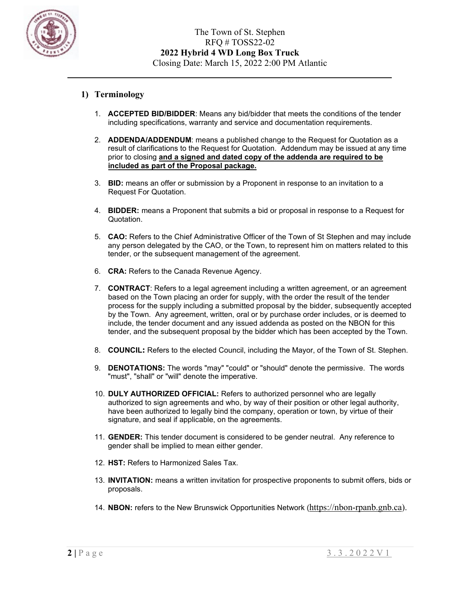

#### **1) Terminology**

- 1. **ACCEPTED BID/BIDDER**: Means any bid/bidder that meets the conditions of the tender including specifications, warranty and service and documentation requirements.
- 2. **ADDENDA/ADDENDUM**: means a published change to the Request for Quotation as a result of clarifications to the Request for Quotation. Addendum may be issued at any time prior to closing **and a signed and dated copy of the addenda are required to be included as part of the Proposal package.**
- 3. **BID:** means an offer or submission by a Proponent in response to an invitation to a Request For Quotation.
- 4. **BIDDER:** means a Proponent that submits a bid or proposal in response to a Request for Quotation.
- 5. **CAO:** Refers to the Chief Administrative Officer of the Town of St Stephen and may include any person delegated by the CAO, or the Town, to represent him on matters related to this tender, or the subsequent management of the agreement.
- 6. **CRA:** Refers to the Canada Revenue Agency.
- 7. **CONTRACT**: Refers to a legal agreement including a written agreement, or an agreement based on the Town placing an order for supply, with the order the result of the tender process for the supply including a submitted proposal by the bidder, subsequently accepted by the Town. Any agreement, written, oral or by purchase order includes, or is deemed to include, the tender document and any issued addenda as posted on the NBON for this tender, and the subsequent proposal by the bidder which has been accepted by the Town.
- 8. **COUNCIL:** Refers to the elected Council, including the Mayor, of the Town of St. Stephen.
- 9. **DENOTATIONS:** The words "may" "could" or "should" denote the permissive. The words "must", "shall" or "will" denote the imperative.
- 10. **DULY AUTHORIZED OFFICIAL:** Refers to authorized personnel who are legally authorized to sign agreements and who, by way of their position or other legal authority, have been authorized to legally bind the company, operation or town, by virtue of their signature, and seal if applicable, on the agreements.
- 11. **GENDER:** This tender document is considered to be gender neutral. Any reference to gender shall be implied to mean either gender.
- 12. **HST:** Refers to Harmonized Sales Tax.
- 13. **INVITATION:** means a written invitation for prospective proponents to submit offers, bids or proposals.
- 14. **NBON:** refers to the New Brunswick Opportunities Network ([https://nbon-rpanb.gnb.ca\)](https://nbon-rpanb.gnb.ca/).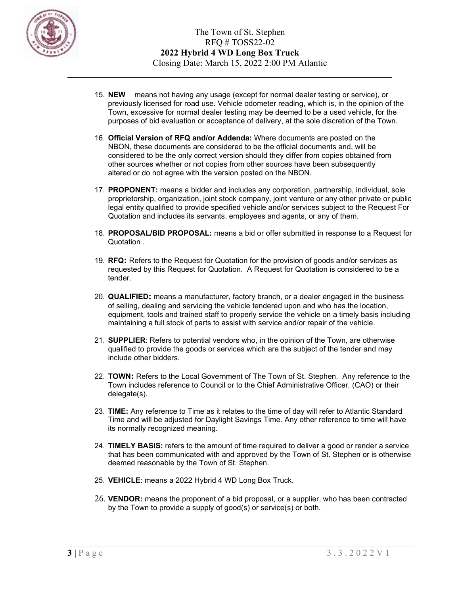

- 15. **NEW** means not having any usage (except for normal dealer testing or service), or previously licensed for road use. Vehicle odometer reading, which is, in the opinion of the Town, excessive for normal dealer testing may be deemed to be a used vehicle, for the purposes of bid evaluation or acceptance of delivery, at the sole discretion of the Town.
- 16. **Official Version of RFQ and/or Addenda:** Where documents are posted on the NBON, these documents are considered to be the official documents and, will be considered to be the only correct version should they differ from copies obtained from other sources whether or not copies from other sources have been subsequently altered or do not agree with the version posted on the NBON.
- 17. **PROPONENT:** means a bidder and includes any corporation, partnership, individual, sole proprietorship, organization, joint stock company, joint venture or any other private or public legal entity qualified to provide specified vehicle and/or services subject to the Request For Quotation and includes its servants, employees and agents, or any of them.
- 18. **PROPOSAL/BID PROPOSAL:** means a bid or offer submitted in response to a Request for Quotation .
- 19. **RFQ:** Refers to the Request for Quotation for the provision of goods and/or services as requested by this Request for Quotation. A Request for Quotation is considered to be a tender.
- 20. **QUALIFIED:** means a manufacturer, factory branch, or a dealer engaged in the business of selling, dealing and servicing the vehicle tendered upon and who has the location, equipment, tools and trained staff to properly service the vehicle on a timely basis including maintaining a full stock of parts to assist with service and/or repair of the vehicle.
- 21. **SUPPLIER**: Refers to potential vendors who, in the opinion of the Town, are otherwise qualified to provide the goods or services which are the subject of the tender and may include other bidders.
- 22. **TOWN:** Refers to the Local Government of The Town of St. Stephen. Any reference to the Town includes reference to Council or to the Chief Administrative Officer, (CAO) or their delegate(s).
- 23. **TIME:** Any reference to Time as it relates to the time of day will refer to Atlantic Standard Time and will be adjusted for Daylight Savings Time. Any other reference to time will have its normally recognized meaning.
- 24. **TIMELY BASIS:** refers to the amount of time required to deliver a good or render a service that has been communicated with and approved by the Town of St. Stephen or is otherwise deemed reasonable by the Town of St. Stephen.
- 25. **VEHICLE**: means a 2022 Hybrid 4 WD Long Box Truck.
- 26. **VENDOR:** means the proponent of a bid proposal, or a supplier, who has been contracted by the Town to provide a supply of good(s) or service(s) or both.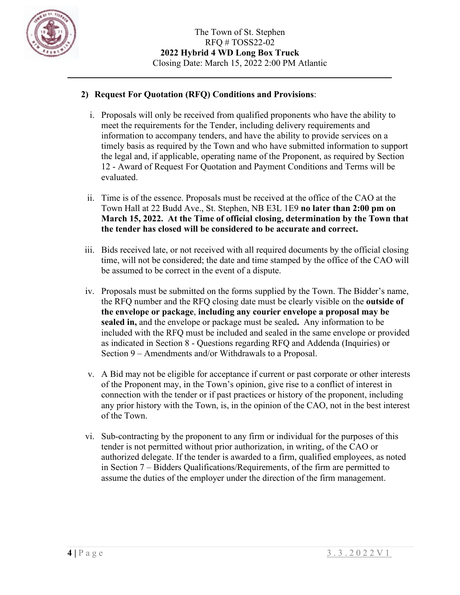

## **2) Request For Quotation (RFQ) Conditions and Provisions**:

- i. Proposals will only be received from qualified proponents who have the ability to meet the requirements for the Tender, including delivery requirements and information to accompany tenders, and have the ability to provide services on a timely basis as required by the Town and who have submitted information to support the legal and, if applicable, operating name of the Proponent, as required by Section 12 - Award of Request For Quotation and Payment Conditions and Terms will be evaluated.
- ii. Time is of the essence. Proposals must be received at the office of the CAO at the Town Hall at 22 Budd Ave., St. Stephen, NB E3L 1E9 **no later than 2:00 pm on March 15, 2022. At the Time of official closing, determination by the Town that the tender has closed will be considered to be accurate and correct.**
- iii. Bids received late, or not received with all required documents by the official closing time, will not be considered; the date and time stamped by the office of the CAO will be assumed to be correct in the event of a dispute.
- iv. Proposals must be submitted on the forms supplied by the Town. The Bidder's name, the RFQ number and the RFQ closing date must be clearly visible on the **outside of the envelope or package**, **including any courier envelope a proposal may be sealed in,** and the envelope or package must be sealed**.** Any information to be included with the RFQ must be included and sealed in the same envelope or provided as indicated in Section 8 - Questions regarding RFQ and Addenda (Inquiries) or Section 9 – Amendments and/or Withdrawals to a Proposal.
- v. A Bid may not be eligible for acceptance if current or past corporate or other interests of the Proponent may, in the Town's opinion, give rise to a conflict of interest in connection with the tender or if past practices or history of the proponent, including any prior history with the Town, is, in the opinion of the CAO, not in the best interest of the Town.
- vi. Sub-contracting by the proponent to any firm or individual for the purposes of this tender is not permitted without prior authorization, in writing, of the CAO or authorized delegate. If the tender is awarded to a firm, qualified employees, as noted in Section 7 – Bidders Qualifications/Requirements, of the firm are permitted to assume the duties of the employer under the direction of the firm management.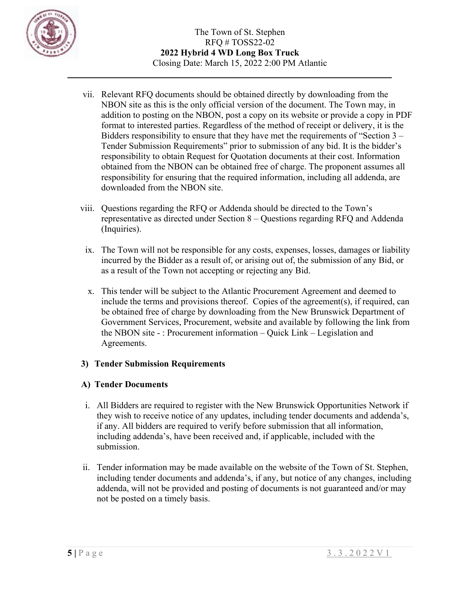

- vii. Relevant RFQ documents should be obtained directly by downloading from the NBON site as this is the only official version of the document. The Town may, in addition to posting on the NBON, post a copy on its website or provide a copy in PDF format to interested parties. Regardless of the method of receipt or delivery, it is the Bidders responsibility to ensure that they have met the requirements of "Section 3 – Tender Submission Requirements" prior to submission of any bid. It is the bidder's responsibility to obtain Request for Quotation documents at their cost. Information obtained from the NBON can be obtained free of charge. The proponent assumes all responsibility for ensuring that the required information, including all addenda, are downloaded from the NBON site.
- viii. Questions regarding the RFQ or Addenda should be directed to the Town's representative as directed under Section 8 – Questions regarding RFQ and Addenda (Inquiries).
	- ix. The Town will not be responsible for any costs, expenses, losses, damages or liability incurred by the Bidder as a result of, or arising out of, the submission of any Bid, or as a result of the Town not accepting or rejecting any Bid.
	- x. This tender will be subject to the Atlantic Procurement Agreement and deemed to include the terms and provisions thereof. Copies of the agreement(s), if required, can be obtained free of charge by downloading from the New Brunswick Department of Government Services, Procurement, website and available by following the link from the NBON site - : Procurement information – Quick Link – Legislation and Agreements.

## **3) Tender Submission Requirements**

## **A) Tender Documents**

- i. All Bidders are required to register with the New Brunswick Opportunities Network if they wish to receive notice of any updates, including tender documents and addenda's, if any. All bidders are required to verify before submission that all information, including addenda's, have been received and, if applicable, included with the submission.
- ii. Tender information may be made available on the website of the Town of St. Stephen, including tender documents and addenda's, if any, but notice of any changes, including addenda, will not be provided and posting of documents is not guaranteed and/or may not be posted on a timely basis.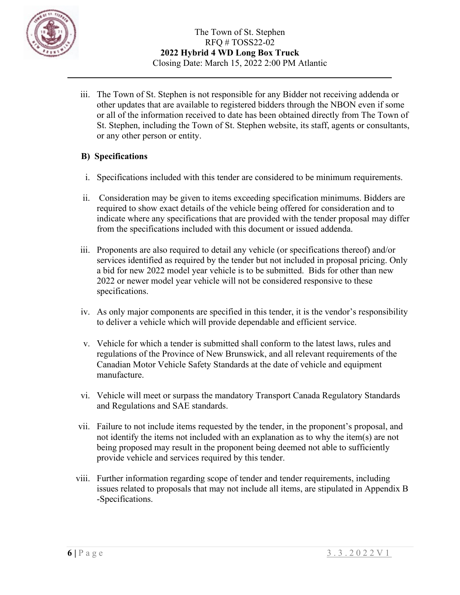

iii. The Town of St. Stephen is not responsible for any Bidder not receiving addenda or other updates that are available to registered bidders through the NBON even if some or all of the information received to date has been obtained directly from The Town of St. Stephen, including the Town of St. Stephen website, its staff, agents or consultants, or any other person or entity.

### **B) Specifications**

- i. Specifications included with this tender are considered to be minimum requirements.
- ii. Consideration may be given to items exceeding specification minimums. Bidders are required to show exact details of the vehicle being offered for consideration and to indicate where any specifications that are provided with the tender proposal may differ from the specifications included with this document or issued addenda.
- iii. Proponents are also required to detail any vehicle (or specifications thereof) and/or services identified as required by the tender but not included in proposal pricing. Only a bid for new 2022 model year vehicle is to be submitted. Bids for other than new 2022 or newer model year vehicle will not be considered responsive to these specifications.
- iv. As only major components are specified in this tender, it is the vendor's responsibility to deliver a vehicle which will provide dependable and efficient service.
- v. Vehicle for which a tender is submitted shall conform to the latest laws, rules and regulations of the Province of New Brunswick, and all relevant requirements of the Canadian Motor Vehicle Safety Standards at the date of vehicle and equipment manufacture.
- vi. Vehicle will meet or surpass the mandatory Transport Canada Regulatory Standards and Regulations and SAE standards.
- vii. Failure to not include items requested by the tender, in the proponent's proposal, and not identify the items not included with an explanation as to why the item(s) are not being proposed may result in the proponent being deemed not able to sufficiently provide vehicle and services required by this tender.
- viii. Further information regarding scope of tender and tender requirements, including issues related to proposals that may not include all items, are stipulated in Appendix B -Specifications.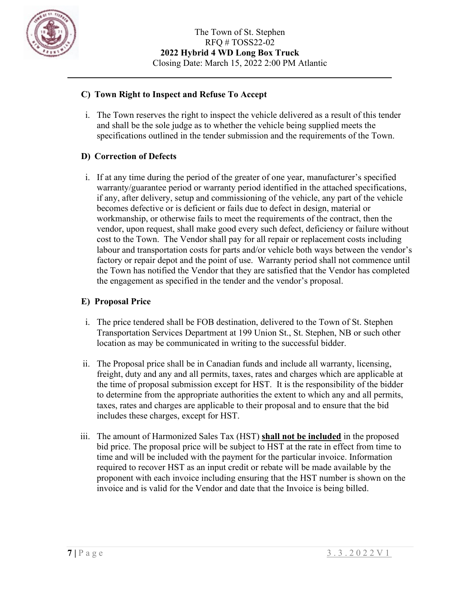

### **C) Town Right to Inspect and Refuse To Accept**

i. The Town reserves the right to inspect the vehicle delivered as a result of this tender and shall be the sole judge as to whether the vehicle being supplied meets the specifications outlined in the tender submission and the requirements of the Town.

### **D) Correction of Defects**

i. If at any time during the period of the greater of one year, manufacturer's specified warranty/guarantee period or warranty period identified in the attached specifications, if any, after delivery, setup and commissioning of the vehicle, any part of the vehicle becomes defective or is deficient or fails due to defect in design, material or workmanship, or otherwise fails to meet the requirements of the contract, then the vendor, upon request, shall make good every such defect, deficiency or failure without cost to the Town. The Vendor shall pay for all repair or replacement costs including labour and transportation costs for parts and/or vehicle both ways between the vendor's factory or repair depot and the point of use. Warranty period shall not commence until the Town has notified the Vendor that they are satisfied that the Vendor has completed the engagement as specified in the tender and the vendor's proposal.

### **E) Proposal Price**

- i. The price tendered shall be FOB destination, delivered to the Town of St. Stephen Transportation Services Department at 199 Union St., St. Stephen, NB or such other location as may be communicated in writing to the successful bidder.
- ii. The Proposal price shall be in Canadian funds and include all warranty, licensing, freight, duty and any and all permits, taxes, rates and charges which are applicable at the time of proposal submission except for HST. It is the responsibility of the bidder to determine from the appropriate authorities the extent to which any and all permits, taxes, rates and charges are applicable to their proposal and to ensure that the bid includes these charges, except for HST.
- iii. The amount of Harmonized Sales Tax (HST) **shall not be included** in the proposed bid price. The proposal price will be subject to HST at the rate in effect from time to time and will be included with the payment for the particular invoice. Information required to recover HST as an input credit or rebate will be made available by the proponent with each invoice including ensuring that the HST number is shown on the invoice and is valid for the Vendor and date that the Invoice is being billed.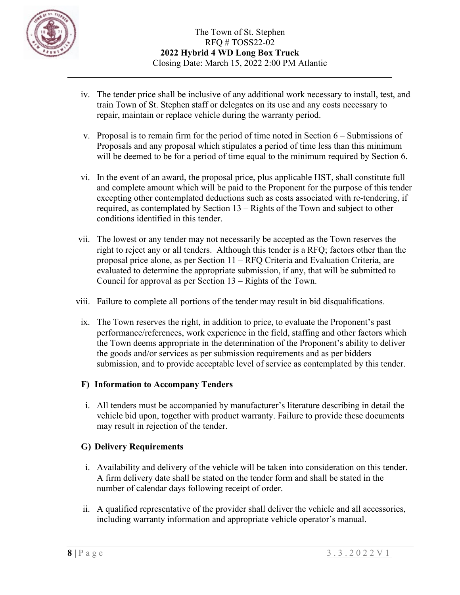

- iv. The tender price shall be inclusive of any additional work necessary to install, test, and train Town of St. Stephen staff or delegates on its use and any costs necessary to repair, maintain or replace vehicle during the warranty period.
- v. Proposal is to remain firm for the period of time noted in Section 6 Submissions of Proposals and any proposal which stipulates a period of time less than this minimum will be deemed to be for a period of time equal to the minimum required by Section 6.
- vi. In the event of an award, the proposal price, plus applicable HST, shall constitute full and complete amount which will be paid to the Proponent for the purpose of this tender excepting other contemplated deductions such as costs associated with re-tendering, if required, as contemplated by Section 13 – Rights of the Town and subject to other conditions identified in this tender.
- vii. The lowest or any tender may not necessarily be accepted as the Town reserves the right to reject any or all tenders. Although this tender is a RFQ; factors other than the proposal price alone, as per Section 11 – RFQ Criteria and Evaluation Criteria, are evaluated to determine the appropriate submission, if any, that will be submitted to Council for approval as per Section 13 – Rights of the Town.
- viii. Failure to complete all portions of the tender may result in bid disqualifications.
	- ix. The Town reserves the right, in addition to price, to evaluate the Proponent's past performance/references, work experience in the field, staffing and other factors which the Town deems appropriate in the determination of the Proponent's ability to deliver the goods and/or services as per submission requirements and as per bidders submission, and to provide acceptable level of service as contemplated by this tender.

## **F) Information to Accompany Tenders**

i. All tenders must be accompanied by manufacturer's literature describing in detail the vehicle bid upon, together with product warranty. Failure to provide these documents may result in rejection of the tender.

## **G) Delivery Requirements**

- i. Availability and delivery of the vehicle will be taken into consideration on this tender. A firm delivery date shall be stated on the tender form and shall be stated in the number of calendar days following receipt of order.
- ii. A qualified representative of the provider shall deliver the vehicle and all accessories, including warranty information and appropriate vehicle operator's manual.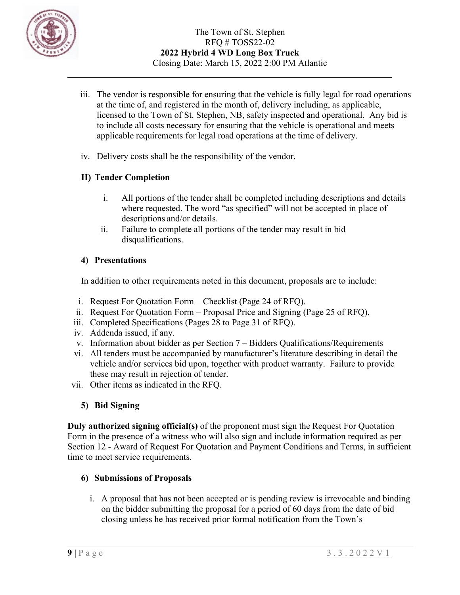

- iii. The vendor is responsible for ensuring that the vehicle is fully legal for road operations at the time of, and registered in the month of, delivery including, as applicable, licensed to the Town of St. Stephen, NB, safety inspected and operational. Any bid is to include all costs necessary for ensuring that the vehicle is operational and meets applicable requirements for legal road operations at the time of delivery.
- iv. Delivery costs shall be the responsibility of the vendor.

## **H) Tender Completion**

- i. All portions of the tender shall be completed including descriptions and details where requested. The word "as specified" will not be accepted in place of descriptions and/or details.
- ii. Failure to complete all portions of the tender may result in bid disqualifications.

### **4) Presentations**

In addition to other requirements noted in this document, proposals are to include:

- i. Request For Quotation Form Checklist (Page 24 of RFQ).
- ii. Request For Quotation Form Proposal Price and Signing (Page 25 of RFQ).
- iii. Completed Specifications (Pages 28 to Page 31 of RFQ).
- iv. Addenda issued, if any.
- v. Information about bidder as per Section 7 Bidders Qualifications/Requirements
- vi. All tenders must be accompanied by manufacturer's literature describing in detail the vehicle and/or services bid upon, together with product warranty. Failure to provide these may result in rejection of tender.
- vii. Other items as indicated in the RFQ.

# **5) Bid Signing**

**Duly authorized signing official(s)** of the proponent must sign the Request For Quotation Form in the presence of a witness who will also sign and include information required as per Section 12 - Award of Request For Quotation and Payment Conditions and Terms, in sufficient time to meet service requirements.

## **6) Submissions of Proposals**

i. A proposal that has not been accepted or is pending review is irrevocable and binding on the bidder submitting the proposal for a period of 60 days from the date of bid closing unless he has received prior formal notification from the Town's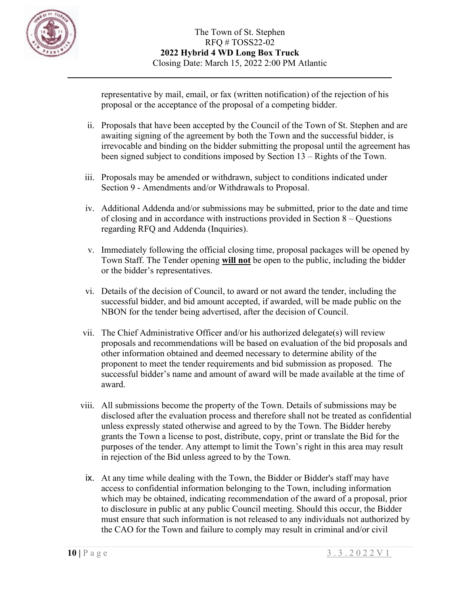

representative by mail, email, or fax (written notification) of the rejection of his proposal or the acceptance of the proposal of a competing bidder.

- ii. Proposals that have been accepted by the Council of the Town of St. Stephen and are awaiting signing of the agreement by both the Town and the successful bidder, is irrevocable and binding on the bidder submitting the proposal until the agreement has been signed subject to conditions imposed by Section 13 – Rights of the Town.
- iii. Proposals may be amended or withdrawn, subject to conditions indicated under Section 9 - Amendments and/or Withdrawals to Proposal.
- iv. Additional Addenda and/or submissions may be submitted, prior to the date and time of closing and in accordance with instructions provided in Section 8 – Questions regarding RFQ and Addenda (Inquiries).
- v. Immediately following the official closing time, proposal packages will be opened by Town Staff. The Tender opening **will not** be open to the public, including the bidder or the bidder's representatives.
- vi. Details of the decision of Council, to award or not award the tender, including the successful bidder, and bid amount accepted, if awarded, will be made public on the NBON for the tender being advertised, after the decision of Council.
- vii. The Chief Administrative Officer and/or his authorized delegate(s) will review proposals and recommendations will be based on evaluation of the bid proposals and other information obtained and deemed necessary to determine ability of the proponent to meet the tender requirements and bid submission as proposed. The successful bidder's name and amount of award will be made available at the time of award.
- viii. All submissions become the property of the Town. Details of submissions may be disclosed after the evaluation process and therefore shall not be treated as confidential unless expressly stated otherwise and agreed to by the Town. The Bidder hereby grants the Town a license to post, distribute, copy, print or translate the Bid for the purposes of the tender. Any attempt to limit the Town's right in this area may result in rejection of the Bid unless agreed to by the Town.
	- ix. At any time while dealing with the Town, the Bidder or Bidder's staff may have access to confidential information belonging to the Town, including information which may be obtained, indicating recommendation of the award of a proposal, prior to disclosure in public at any public Council meeting. Should this occur, the Bidder must ensure that such information is not released to any individuals not authorized by the CAO for the Town and failure to comply may result in criminal and/or civil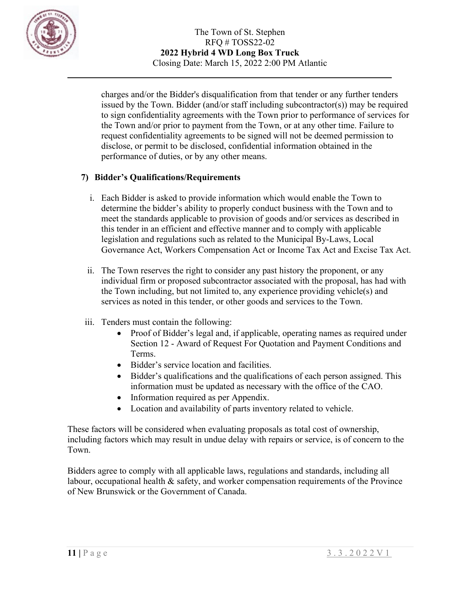

charges and/or the Bidder's disqualification from that tender or any further tenders issued by the Town. Bidder (and/or staff including subcontractor(s)) may be required to sign confidentiality agreements with the Town prior to performance of services for the Town and/or prior to payment from the Town, or at any other time. Failure to request confidentiality agreements to be signed will not be deemed permission to disclose, or permit to be disclosed, confidential information obtained in the performance of duties, or by any other means.

## **7) Bidder's Qualifications/Requirements**

- i. Each Bidder is asked to provide information which would enable the Town to determine the bidder's ability to properly conduct business with the Town and to meet the standards applicable to provision of goods and/or services as described in this tender in an efficient and effective manner and to comply with applicable legislation and regulations such as related to the Municipal By-Laws, Local Governance Act, Workers Compensation Act or Income Tax Act and Excise Tax Act.
- ii. The Town reserves the right to consider any past history the proponent, or any individual firm or proposed subcontractor associated with the proposal, has had with the Town including, but not limited to, any experience providing vehicle(s) and services as noted in this tender, or other goods and services to the Town.
- iii. Tenders must contain the following:
	- Proof of Bidder's legal and, if applicable, operating names as required under Section 12 - Award of Request For Quotation and Payment Conditions and Terms.
	- Bidder's service location and facilities.
	- Bidder's qualifications and the qualifications of each person assigned. This information must be updated as necessary with the office of the CAO.
	- Information required as per Appendix.
	- Location and availability of parts inventory related to vehicle.

These factors will be considered when evaluating proposals as total cost of ownership, including factors which may result in undue delay with repairs or service, is of concern to the Town.

Bidders agree to comply with all applicable laws, regulations and standards, including all labour, occupational health  $\&$  safety, and worker compensation requirements of the Province of New Brunswick or the Government of Canada.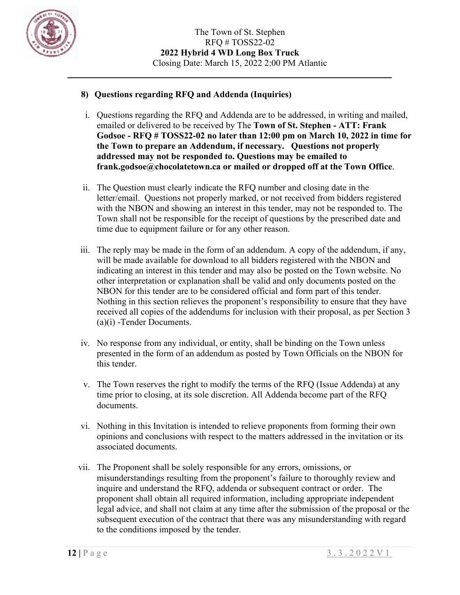

### **8) Questions regarding RFQ and Addenda (Inquiries)**

- i. Questions regarding the RFQ and Addenda are to be addressed, in writing and mailed, emailed or delivered to be received by The **Town of St. Stephen - ATT: Frank Godsoe - RFQ # TOSS22-02 no later than 12:00 pm on March 10, 2022 in time for the Town to prepare an Addendum, if necessary. Questions not properly addressed may not be responded to. Questions may be emailed to frank.godsoe@chocolatetown.ca or mailed or dropped off at the Town Office**.
- ii. The Question must clearly indicate the RFQ number and closing date in the letter/email. Questions not properly marked, or not received from bidders registered with the NBON and showing an interest in this tender, may not be responded to. The Town shall not be responsible for the receipt of questions by the prescribed date and time due to equipment failure or for any other reason.
- iii. The reply may be made in the form of an addendum. A copy of the addendum, if any, will be made available for download to all bidders registered with the NBON and indicating an interest in this tender and may also be posted on the Town website. No other interpretation or explanation shall be valid and only documents posted on the NBON for this tender are to be considered official and form part of this tender. Nothing in this section relieves the proponent's responsibility to ensure that they have received all copies of the addendums for inclusion with their proposal, as per Section 3 (a)(i) -Tender Documents.
- iv. No response from any individual, or entity, shall be binding on the Town unless presented in the form of an addendum as posted by Town Officials on the NBON for this tender.
- v. The Town reserves the right to modify the terms of the RFQ (Issue Addenda) at any time prior to closing, at its sole discretion. All Addenda become part of the RFQ documents.
- vi. Nothing in this Invitation is intended to relieve proponents from forming their own opinions and conclusions with respect to the matters addressed in the invitation or its associated documents.
- vii. The Proponent shall be solely responsible for any errors, omissions, or misunderstandings resulting from the proponent's failure to thoroughly review and inquire and understand the RFQ, addenda or subsequent contract or order. The proponent shall obtain all required information, including appropriate independent legal advice, and shall not claim at any time after the submission of the proposal or the subsequent execution of the contract that there was any misunderstanding with regard to the conditions imposed by the tender.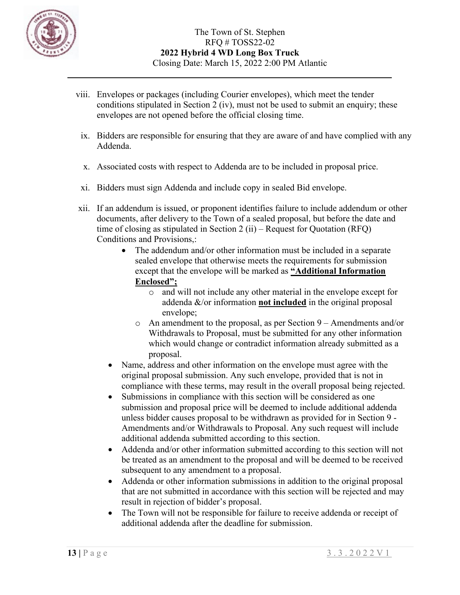

- viii. Envelopes or packages (including Courier envelopes), which meet the tender conditions stipulated in Section 2 (iv), must not be used to submit an enquiry; these envelopes are not opened before the official closing time.
	- ix. Bidders are responsible for ensuring that they are aware of and have complied with any Addenda.
	- x. Associated costs with respect to Addenda are to be included in proposal price.
	- xi. Bidders must sign Addenda and include copy in sealed Bid envelope.
- xii. If an addendum is issued, or proponent identifies failure to include addendum or other documents, after delivery to the Town of a sealed proposal, but before the date and time of closing as stipulated in Section 2 (ii) – Request for Quotation (RFQ) Conditions and Provisions,:
	- The addendum and/or other information must be included in a separate sealed envelope that otherwise meets the requirements for submission except that the envelope will be marked as **"Additional Information Enclosed";**
		- o and will not include any other material in the envelope except for addenda &/or information **not included** in the original proposal envelope;
		- o An amendment to the proposal, as per Section 9 Amendments and/or Withdrawals to Proposal, must be submitted for any other information which would change or contradict information already submitted as a proposal.
	- Name, address and other information on the envelope must agree with the original proposal submission. Any such envelope, provided that is not in compliance with these terms, may result in the overall proposal being rejected.
	- Submissions in compliance with this section will be considered as one submission and proposal price will be deemed to include additional addenda unless bidder causes proposal to be withdrawn as provided for in Section 9 - Amendments and/or Withdrawals to Proposal. Any such request will include additional addenda submitted according to this section.
	- Addenda and/or other information submitted according to this section will not be treated as an amendment to the proposal and will be deemed to be received subsequent to any amendment to a proposal.
	- Addenda or other information submissions in addition to the original proposal that are not submitted in accordance with this section will be rejected and may result in rejection of bidder's proposal.
	- The Town will not be responsible for failure to receive addenda or receipt of additional addenda after the deadline for submission.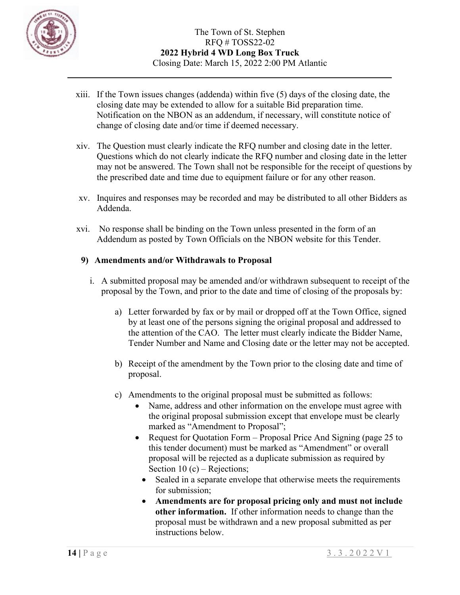

- xiii. If the Town issues changes (addenda) within five (5) days of the closing date, the closing date may be extended to allow for a suitable Bid preparation time. Notification on the NBON as an addendum, if necessary, will constitute notice of change of closing date and/or time if deemed necessary.
- xiv. The Question must clearly indicate the RFQ number and closing date in the letter. Questions which do not clearly indicate the RFQ number and closing date in the letter may not be answered. The Town shall not be responsible for the receipt of questions by the prescribed date and time due to equipment failure or for any other reason.
- xv. Inquires and responses may be recorded and may be distributed to all other Bidders as Addenda.
- xvi. No response shall be binding on the Town unless presented in the form of an Addendum as posted by Town Officials on the NBON website for this Tender.

### **9) Amendments and/or Withdrawals to Proposal**

- i. A submitted proposal may be amended and/or withdrawn subsequent to receipt of the proposal by the Town, and prior to the date and time of closing of the proposals by:
	- a) Letter forwarded by fax or by mail or dropped off at the Town Office, signed by at least one of the persons signing the original proposal and addressed to the attention of the CAO. The letter must clearly indicate the Bidder Name, Tender Number and Name and Closing date or the letter may not be accepted.
	- b) Receipt of the amendment by the Town prior to the closing date and time of proposal.
	- c) Amendments to the original proposal must be submitted as follows:
		- Name, address and other information on the envelope must agree with the original proposal submission except that envelope must be clearly marked as "Amendment to Proposal";
		- Request for Quotation Form Proposal Price And Signing (page 25 to this tender document) must be marked as "Amendment" or overall proposal will be rejected as a duplicate submission as required by Section 10 (c) – Rejections;
			- Sealed in a separate envelope that otherwise meets the requirements for submission;
			- **Amendments are for proposal pricing only and must not include other information.** If other information needs to change than the proposal must be withdrawn and a new proposal submitted as per instructions below.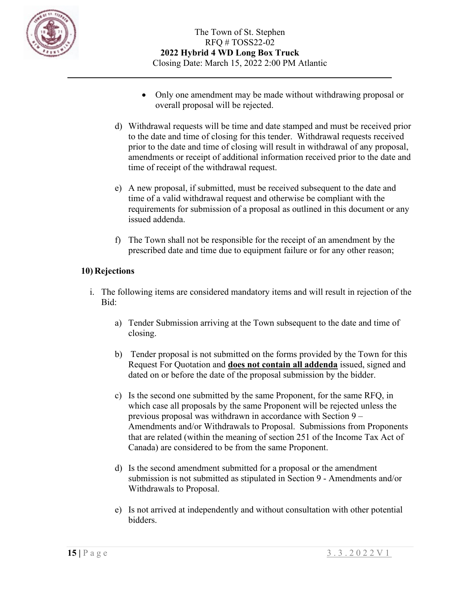

- Only one amendment may be made without withdrawing proposal or overall proposal will be rejected.
- d) Withdrawal requests will be time and date stamped and must be received prior to the date and time of closing for this tender. Withdrawal requests received prior to the date and time of closing will result in withdrawal of any proposal, amendments or receipt of additional information received prior to the date and time of receipt of the withdrawal request.
- e) A new proposal, if submitted, must be received subsequent to the date and time of a valid withdrawal request and otherwise be compliant with the requirements for submission of a proposal as outlined in this document or any issued addenda.
- f) The Town shall not be responsible for the receipt of an amendment by the prescribed date and time due to equipment failure or for any other reason;

## **10) Rejections**

- i. The following items are considered mandatory items and will result in rejection of the Bid:
	- a) Tender Submission arriving at the Town subsequent to the date and time of closing.
	- b) Tender proposal is not submitted on the forms provided by the Town for this Request For Quotation and **does not contain all addenda** issued, signed and dated on or before the date of the proposal submission by the bidder.
	- c) Is the second one submitted by the same Proponent, for the same RFQ, in which case all proposals by the same Proponent will be rejected unless the previous proposal was withdrawn in accordance with Section 9 – Amendments and/or Withdrawals to Proposal. Submissions from Proponents that are related (within the meaning of section 251 of the Income Tax Act of Canada) are considered to be from the same Proponent.
	- d) Is the second amendment submitted for a proposal or the amendment submission is not submitted as stipulated in Section 9 - Amendments and/or Withdrawals to Proposal.
	- e) Is not arrived at independently and without consultation with other potential bidders.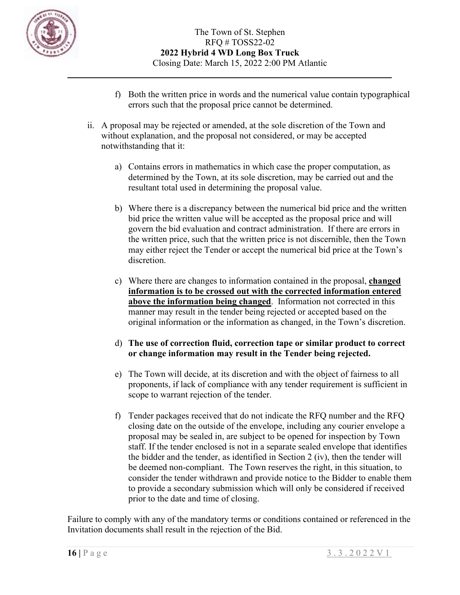

- f) Both the written price in words and the numerical value contain typographical errors such that the proposal price cannot be determined.
- ii. A proposal may be rejected or amended, at the sole discretion of the Town and without explanation, and the proposal not considered, or may be accepted notwithstanding that it:
	- a) Contains errors in mathematics in which case the proper computation, as determined by the Town, at its sole discretion, may be carried out and the resultant total used in determining the proposal value.
	- b) Where there is a discrepancy between the numerical bid price and the written bid price the written value will be accepted as the proposal price and will govern the bid evaluation and contract administration. If there are errors in the written price, such that the written price is not discernible, then the Town may either reject the Tender or accept the numerical bid price at the Town's discretion.
	- c) Where there are changes to information contained in the proposal, **changed information is to be crossed out with the corrected information entered above the information being changed**. Information not corrected in this manner may result in the tender being rejected or accepted based on the original information or the information as changed, in the Town's discretion.
	- d) **The use of correction fluid, correction tape or similar product to correct or change information may result in the Tender being rejected.**
	- e) The Town will decide, at its discretion and with the object of fairness to all proponents, if lack of compliance with any tender requirement is sufficient in scope to warrant rejection of the tender.
	- f) Tender packages received that do not indicate the RFQ number and the RFQ closing date on the outside of the envelope, including any courier envelope a proposal may be sealed in, are subject to be opened for inspection by Town staff. If the tender enclosed is not in a separate sealed envelope that identifies the bidder and the tender, as identified in Section 2 (iv), then the tender will be deemed non-compliant. The Town reserves the right, in this situation, to consider the tender withdrawn and provide notice to the Bidder to enable them to provide a secondary submission which will only be considered if received prior to the date and time of closing.

Failure to comply with any of the mandatory terms or conditions contained or referenced in the Invitation documents shall result in the rejection of the Bid.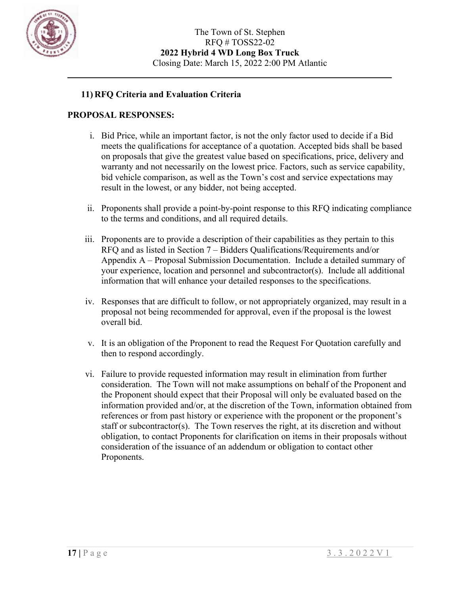

### **11) RFQ Criteria and Evaluation Criteria**

#### **PROPOSAL RESPONSES:**

- i. Bid Price, while an important factor, is not the only factor used to decide if a Bid meets the qualifications for acceptance of a quotation. Accepted bids shall be based on proposals that give the greatest value based on specifications, price, delivery and warranty and not necessarily on the lowest price. Factors, such as service capability, bid vehicle comparison, as well as the Town's cost and service expectations may result in the lowest, or any bidder, not being accepted.
- ii. Proponents shall provide a point-by-point response to this RFQ indicating compliance to the terms and conditions, and all required details.
- iii. Proponents are to provide a description of their capabilities as they pertain to this RFQ and as listed in Section 7 – Bidders Qualifications/Requirements and/or Appendix A – Proposal Submission Documentation. Include a detailed summary of your experience, location and personnel and subcontractor(s). Include all additional information that will enhance your detailed responses to the specifications.
- iv. Responses that are difficult to follow, or not appropriately organized, may result in a proposal not being recommended for approval, even if the proposal is the lowest overall bid.
- v. It is an obligation of the Proponent to read the Request For Quotation carefully and then to respond accordingly.
- vi. Failure to provide requested information may result in elimination from further consideration. The Town will not make assumptions on behalf of the Proponent and the Proponent should expect that their Proposal will only be evaluated based on the information provided and/or, at the discretion of the Town, information obtained from references or from past history or experience with the proponent or the proponent's staff or subcontractor(s). The Town reserves the right, at its discretion and without obligation, to contact Proponents for clarification on items in their proposals without consideration of the issuance of an addendum or obligation to contact other Proponents.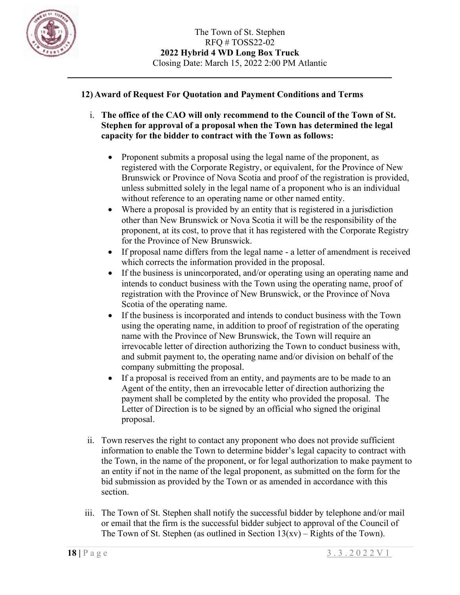

### **12) Award of Request For Quotation and Payment Conditions and Terms**

- i. **The office of the CAO will only recommend to the Council of the Town of St. Stephen for approval of a proposal when the Town has determined the legal capacity for the bidder to contract with the Town as follows:**
	- Proponent submits a proposal using the legal name of the proponent, as registered with the Corporate Registry, or equivalent, for the Province of New Brunswick or Province of Nova Scotia and proof of the registration is provided, unless submitted solely in the legal name of a proponent who is an individual without reference to an operating name or other named entity.
	- Where a proposal is provided by an entity that is registered in a jurisdiction other than New Brunswick or Nova Scotia it will be the responsibility of the proponent, at its cost, to prove that it has registered with the Corporate Registry for the Province of New Brunswick.
	- If proposal name differs from the legal name a letter of amendment is received which corrects the information provided in the proposal.
	- If the business is unincorporated, and/or operating using an operating name and intends to conduct business with the Town using the operating name, proof of registration with the Province of New Brunswick, or the Province of Nova Scotia of the operating name.
	- If the business is incorporated and intends to conduct business with the Town using the operating name, in addition to proof of registration of the operating name with the Province of New Brunswick, the Town will require an irrevocable letter of direction authorizing the Town to conduct business with, and submit payment to, the operating name and/or division on behalf of the company submitting the proposal.
	- If a proposal is received from an entity, and payments are to be made to an Agent of the entity, then an irrevocable letter of direction authorizing the payment shall be completed by the entity who provided the proposal. The Letter of Direction is to be signed by an official who signed the original proposal.
- ii. Town reserves the right to contact any proponent who does not provide sufficient information to enable the Town to determine bidder's legal capacity to contract with the Town, in the name of the proponent, or for legal authorization to make payment to an entity if not in the name of the legal proponent, as submitted on the form for the bid submission as provided by the Town or as amended in accordance with this section.
- iii. The Town of St. Stephen shall notify the successful bidder by telephone and/or mail or email that the firm is the successful bidder subject to approval of the Council of The Town of St. Stephen (as outlined in Section  $13(xv)$  – Rights of the Town).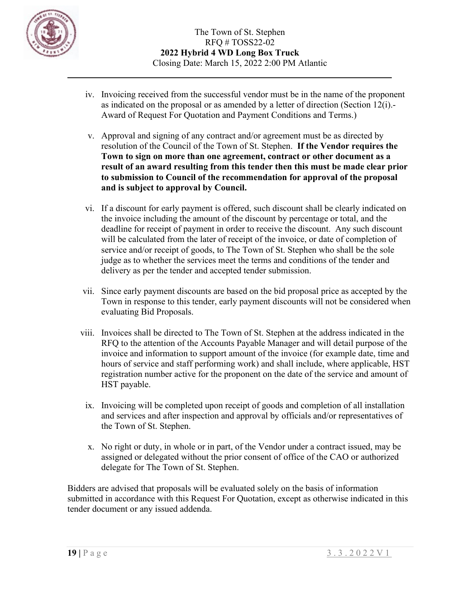

- iv. Invoicing received from the successful vendor must be in the name of the proponent as indicated on the proposal or as amended by a letter of direction (Section 12(i).- Award of Request For Quotation and Payment Conditions and Terms.)
- v. Approval and signing of any contract and/or agreement must be as directed by resolution of the Council of the Town of St. Stephen. **If the Vendor requires the Town to sign on more than one agreement, contract or other document as a result of an award resulting from this tender then this must be made clear prior to submission to Council of the recommendation for approval of the proposal and is subject to approval by Council.**
- vi. If a discount for early payment is offered, such discount shall be clearly indicated on the invoice including the amount of the discount by percentage or total, and the deadline for receipt of payment in order to receive the discount. Any such discount will be calculated from the later of receipt of the invoice, or date of completion of service and/or receipt of goods, to The Town of St. Stephen who shall be the sole judge as to whether the services meet the terms and conditions of the tender and delivery as per the tender and accepted tender submission.
- vii. Since early payment discounts are based on the bid proposal price as accepted by the Town in response to this tender, early payment discounts will not be considered when evaluating Bid Proposals.
- viii. Invoices shall be directed to The Town of St. Stephen at the address indicated in the RFQ to the attention of the Accounts Payable Manager and will detail purpose of the invoice and information to support amount of the invoice (for example date, time and hours of service and staff performing work) and shall include, where applicable, HST registration number active for the proponent on the date of the service and amount of HST payable.
	- ix. Invoicing will be completed upon receipt of goods and completion of all installation and services and after inspection and approval by officials and/or representatives of the Town of St. Stephen.
	- x. No right or duty, in whole or in part, of the Vendor under a contract issued, may be assigned or delegated without the prior consent of office of the CAO or authorized delegate for The Town of St. Stephen.

Bidders are advised that proposals will be evaluated solely on the basis of information submitted in accordance with this Request For Quotation, except as otherwise indicated in this tender document or any issued addenda.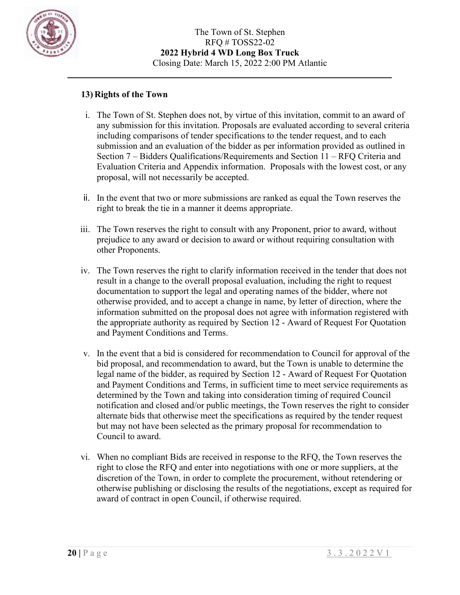

### **13) Rights of the Town**

- i. The Town of St. Stephen does not, by virtue of this invitation, commit to an award of any submission for this invitation. Proposals are evaluated according to several criteria including comparisons of tender specifications to the tender request, and to each submission and an evaluation of the bidder as per information provided as outlined in Section 7 – Bidders Qualifications/Requirements and Section 11 – RFQ Criteria and Evaluation Criteria and Appendix information. Proposals with the lowest cost, or any proposal, will not necessarily be accepted.
- ii. In the event that two or more submissions are ranked as equal the Town reserves the right to break the tie in a manner it deems appropriate.
- iii. The Town reserves the right to consult with any Proponent, prior to award, without prejudice to any award or decision to award or without requiring consultation with other Proponents.
- iv. The Town reserves the right to clarify information received in the tender that does not result in a change to the overall proposal evaluation, including the right to request documentation to support the legal and operating names of the bidder, where not otherwise provided, and to accept a change in name, by letter of direction, where the information submitted on the proposal does not agree with information registered with the appropriate authority as required by Section 12 - Award of Request For Quotation and Payment Conditions and Terms.
- v. In the event that a bid is considered for recommendation to Council for approval of the bid proposal, and recommendation to award, but the Town is unable to determine the legal name of the bidder, as required by Section 12 - Award of Request For Quotation and Payment Conditions and Terms, in sufficient time to meet service requirements as determined by the Town and taking into consideration timing of required Council notification and closed and/or public meetings, the Town reserves the right to consider alternate bids that otherwise meet the specifications as required by the tender request but may not have been selected as the primary proposal for recommendation to Council to award.
- vi. When no compliant Bids are received in response to the RFQ, the Town reserves the right to close the RFQ and enter into negotiations with one or more suppliers, at the discretion of the Town, in order to complete the procurement, without retendering or otherwise publishing or disclosing the results of the negotiations, except as required for award of contract in open Council, if otherwise required.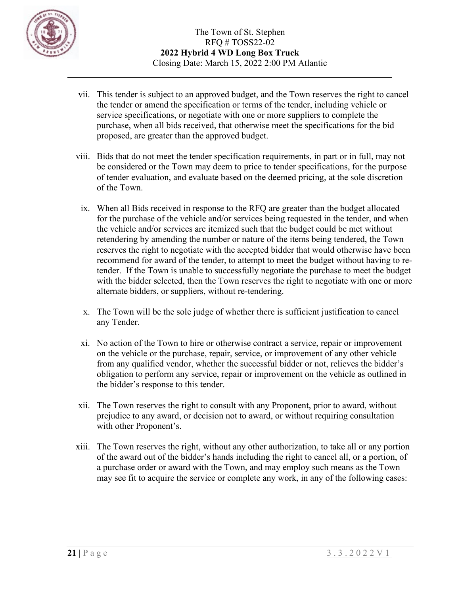

- vii. This tender is subject to an approved budget, and the Town reserves the right to cancel the tender or amend the specification or terms of the tender, including vehicle or service specifications, or negotiate with one or more suppliers to complete the purchase, when all bids received, that otherwise meet the specifications for the bid proposed, are greater than the approved budget.
- viii. Bids that do not meet the tender specification requirements, in part or in full, may not be considered or the Town may deem to price to tender specifications, for the purpose of tender evaluation, and evaluate based on the deemed pricing, at the sole discretion of the Town.
	- ix. When all Bids received in response to the RFQ are greater than the budget allocated for the purchase of the vehicle and/or services being requested in the tender, and when the vehicle and/or services are itemized such that the budget could be met without retendering by amending the number or nature of the items being tendered, the Town reserves the right to negotiate with the accepted bidder that would otherwise have been recommend for award of the tender, to attempt to meet the budget without having to retender. If the Town is unable to successfully negotiate the purchase to meet the budget with the bidder selected, then the Town reserves the right to negotiate with one or more alternate bidders, or suppliers, without re-tendering.
	- x. The Town will be the sole judge of whether there is sufficient justification to cancel any Tender.
	- xi. No action of the Town to hire or otherwise contract a service, repair or improvement on the vehicle or the purchase, repair, service, or improvement of any other vehicle from any qualified vendor, whether the successful bidder or not, relieves the bidder's obligation to perform any service, repair or improvement on the vehicle as outlined in the bidder's response to this tender.
- xii. The Town reserves the right to consult with any Proponent, prior to award, without prejudice to any award, or decision not to award, or without requiring consultation with other Proponent's.
- xiii. The Town reserves the right, without any other authorization, to take all or any portion of the award out of the bidder's hands including the right to cancel all, or a portion, of a purchase order or award with the Town, and may employ such means as the Town may see fit to acquire the service or complete any work, in any of the following cases: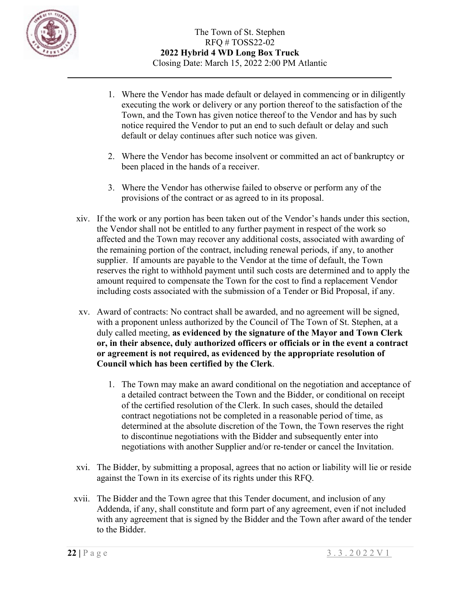

- 1. Where the Vendor has made default or delayed in commencing or in diligently executing the work or delivery or any portion thereof to the satisfaction of the Town, and the Town has given notice thereof to the Vendor and has by such notice required the Vendor to put an end to such default or delay and such default or delay continues after such notice was given.
- 2. Where the Vendor has become insolvent or committed an act of bankruptcy or been placed in the hands of a receiver.
- 3. Where the Vendor has otherwise failed to observe or perform any of the provisions of the contract or as agreed to in its proposal.
- xiv. If the work or any portion has been taken out of the Vendor's hands under this section, the Vendor shall not be entitled to any further payment in respect of the work so affected and the Town may recover any additional costs, associated with awarding of the remaining portion of the contract, including renewal periods, if any, to another supplier. If amounts are payable to the Vendor at the time of default, the Town reserves the right to withhold payment until such costs are determined and to apply the amount required to compensate the Town for the cost to find a replacement Vendor including costs associated with the submission of a Tender or Bid Proposal, if any.
- xv. Award of contracts: No contract shall be awarded, and no agreement will be signed, with a proponent unless authorized by the Council of The Town of St. Stephen, at a duly called meeting, **as evidenced by the signature of the Mayor and Town Clerk or, in their absence, duly authorized officers or officials or in the event a contract or agreement is not required, as evidenced by the appropriate resolution of Council which has been certified by the Clerk**.
	- 1. The Town may make an award conditional on the negotiation and acceptance of a detailed contract between the Town and the Bidder, or conditional on receipt of the certified resolution of the Clerk. In such cases, should the detailed contract negotiations not be completed in a reasonable period of time, as determined at the absolute discretion of the Town, the Town reserves the right to discontinue negotiations with the Bidder and subsequently enter into negotiations with another Supplier and/or re-tender or cancel the Invitation.
- xvi. The Bidder, by submitting a proposal, agrees that no action or liability will lie or reside against the Town in its exercise of its rights under this RFQ.
- xvii. The Bidder and the Town agree that this Tender document, and inclusion of any Addenda, if any, shall constitute and form part of any agreement, even if not included with any agreement that is signed by the Bidder and the Town after award of the tender to the Bidder.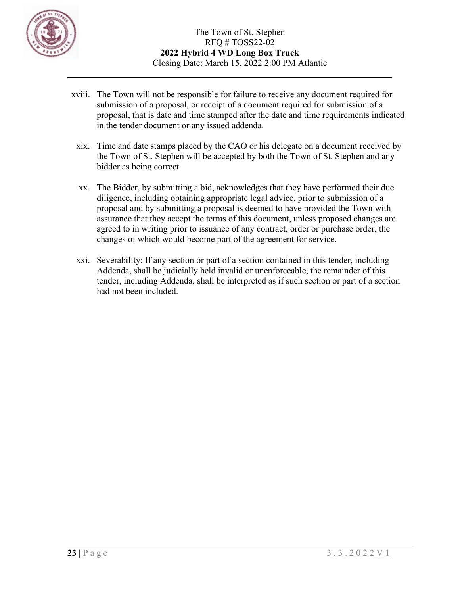

- xviii. The Town will not be responsible for failure to receive any document required for submission of a proposal, or receipt of a document required for submission of a proposal, that is date and time stamped after the date and time requirements indicated in the tender document or any issued addenda.
	- xix. Time and date stamps placed by the CAO or his delegate on a document received by the Town of St. Stephen will be accepted by both the Town of St. Stephen and any bidder as being correct.
	- xx. The Bidder, by submitting a bid, acknowledges that they have performed their due diligence, including obtaining appropriate legal advice, prior to submission of a proposal and by submitting a proposal is deemed to have provided the Town with assurance that they accept the terms of this document, unless proposed changes are agreed to in writing prior to issuance of any contract, order or purchase order, the changes of which would become part of the agreement for service.
	- xxi. Severability: If any section or part of a section contained in this tender, including Addenda, shall be judicially held invalid or unenforceable, the remainder of this tender, including Addenda, shall be interpreted as if such section or part of a section had not been included.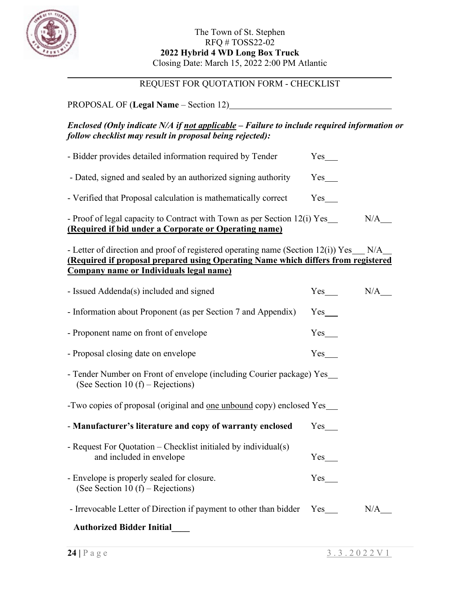

# REQUEST FOR QUOTATION FORM - CHECKLIST

## PROPOSAL OF (**Legal Name** – Section 12)

### *Enclosed (Only indicate N/A if not applicable – Failure to include required information or follow checklist may result in proposal being rejected):*

| - Proof of legal capacity to Contract with Town as per Section 12(i) Yes<br>(Required if bid under a Corporate or Operating name) |          | N/A |
|-----------------------------------------------------------------------------------------------------------------------------------|----------|-----|
| - Verified that Proposal calculation is mathematically correct                                                                    | $Yes \_$ |     |
| - Dated, signed and sealed by an authorized signing authority                                                                     | Yes      |     |
| - Bidder provides detailed information required by Tender                                                                         | Yes      |     |

- Letter of direction and proof of registered operating name (Section 12(i)) Yes  $N/A$ **(Required if proposal prepared using Operating Name which differs from registered Company name or Individuals legal name)**

| - Issued Addenda(s) included and signed                                                                      | $Yes$ <sub>____</sub> | N/A |
|--------------------------------------------------------------------------------------------------------------|-----------------------|-----|
| - Information about Proponent (as per Section 7 and Appendix)                                                | $Yes$ <sub>___</sub>  |     |
| - Proponent name on front of envelope                                                                        | Yes                   |     |
| - Proposal closing date on envelope                                                                          | $Yes$ <sub>____</sub> |     |
| - Tender Number on Front of envelope (including Courier package) Yes_<br>(See Section 10 $(f)$ – Rejections) |                       |     |
| -Two copies of proposal (original and <u>one unbound</u> copy) enclosed Yes___                               |                       |     |
| - Manufacturer's literature and copy of warranty enclosed                                                    | $Yes$ <sub>___</sub>  |     |
| - Request For Quotation – Checklist initialed by individual(s)<br>and included in envelope                   | $Yes$ <sub>___</sub>  |     |
| - Envelope is properly sealed for closure.<br>(See Section 10 $(f)$ – Rejections)                            | Yes                   |     |
| - Irrevocable Letter of Direction if payment to other than bidder Yes                                        |                       | N/A |
| <b>Authorized Bidder Initial</b>                                                                             |                       |     |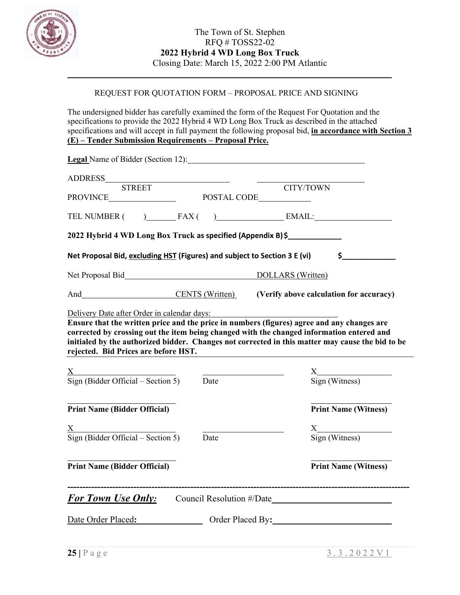

## REQUEST FOR QUOTATION FORM – PROPOSAL PRICE AND SIGNING

The undersigned bidder has carefully examined the form of the Request For Quotation and the specifications to provide the 2022 Hybrid 4 WD Long Box Truck as described in the attached specifications and will accept in full payment the following proposal bid, **in accordance with Section 3 (E) – Tender Submission Requirements – Proposal Price.**

| <b>Legal</b> Name of Bidder (Section 12):                                 |      |                                                                                                                                                                                                                                                                                             |  |
|---------------------------------------------------------------------------|------|---------------------------------------------------------------------------------------------------------------------------------------------------------------------------------------------------------------------------------------------------------------------------------------------|--|
|                                                                           |      |                                                                                                                                                                                                                                                                                             |  |
| <b>STREET</b>                                                             |      | CITY/TOWN                                                                                                                                                                                                                                                                                   |  |
|                                                                           |      | TEL NUMBER ( ) FAX ( ) EMAIL:                                                                                                                                                                                                                                                               |  |
|                                                                           |      | 2022 Hybrid 4 WD Long Box Truck as specified (Appendix B) \$                                                                                                                                                                                                                                |  |
| Net Proposal Bid, excluding HST (Figures) and subject to Section 3 E (vi) |      | $\sim$ $\sim$                                                                                                                                                                                                                                                                               |  |
|                                                                           |      | Net Proposal Bid Net Proposal Bid Net Proposal Bid Net Proposal Bid Net Proposal Bid Net Proposal Bid Net Proposal Bid Net Proposal Bid Net Proposal Bid Net Proposal Bid Net Proposal Bid Net Proposal Bid Net Proposal Bid N                                                              |  |
|                                                                           |      | And CENTS (Written) (Verify above calculation for accuracy)                                                                                                                                                                                                                                 |  |
| rejected. Bid Prices are before HST.                                      |      | Ensure that the written price and the price in numbers (figures) agree and any changes are<br>corrected by crossing out the item being changed with the changed information entered and<br>initialed by the authorized bidder. Changes not corrected in this matter may cause the bid to be |  |
| $\frac{X}{x}$<br>Sign (Bidder Official – Section 5)                       | Date | $\frac{X}{\text{Sign (Witness)}}$                                                                                                                                                                                                                                                           |  |
| <b>Print Name (Bidder Official)</b>                                       |      | <b>Print Name (Witness)</b>                                                                                                                                                                                                                                                                 |  |
| $\frac{X}{\text{Sign (Bidder Official - Section 5)}}$                     |      | $\frac{X}{\text{Sign (Witness)}}$                                                                                                                                                                                                                                                           |  |
|                                                                           | Date |                                                                                                                                                                                                                                                                                             |  |
| <b>Print Name (Bidder Official)</b>                                       |      | <b>Print Name (Witness)</b>                                                                                                                                                                                                                                                                 |  |
|                                                                           |      | <b>For Town Use Only:</b> Council Resolution #/Date                                                                                                                                                                                                                                         |  |
| Date Order Placed:                                                        |      | Order Placed By:                                                                                                                                                                                                                                                                            |  |
|                                                                           |      |                                                                                                                                                                                                                                                                                             |  |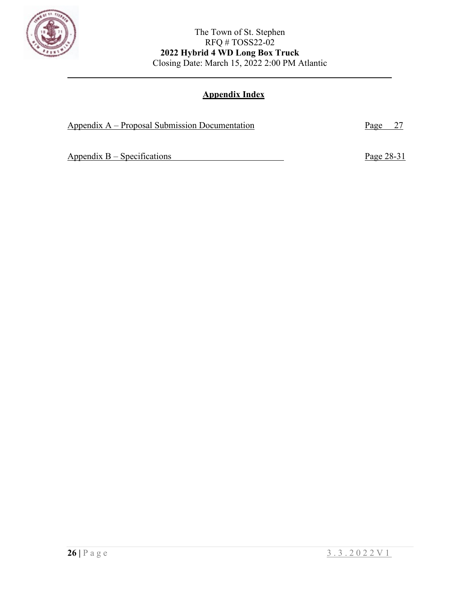

# **Appendix Index**

| Appendix $A -$ Proposal Submission Documentation | Page 27    |
|--------------------------------------------------|------------|
|                                                  |            |
| Appendix $B - Specifications$                    | Page 28-31 |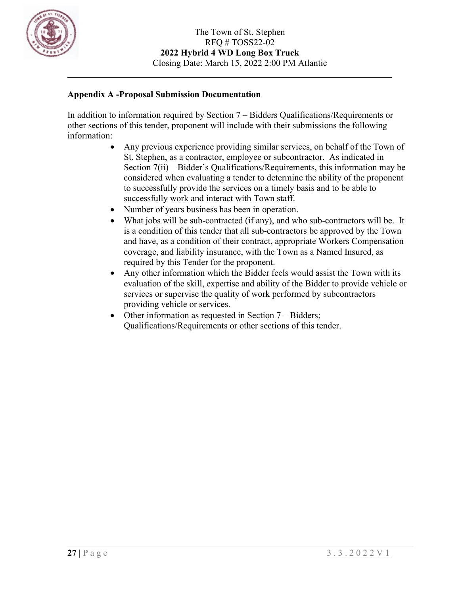

### **Appendix A -Proposal Submission Documentation**

In addition to information required by Section 7 – Bidders Qualifications/Requirements or other sections of this tender, proponent will include with their submissions the following information:

- Any previous experience providing similar services, on behalf of the Town of St. Stephen, as a contractor, employee or subcontractor. As indicated in Section 7(ii) – Bidder's Qualifications/Requirements, this information may be considered when evaluating a tender to determine the ability of the proponent to successfully provide the services on a timely basis and to be able to successfully work and interact with Town staff.
- Number of years business has been in operation.
- What jobs will be sub-contracted (if any), and who sub-contractors will be. It is a condition of this tender that all sub-contractors be approved by the Town and have, as a condition of their contract, appropriate Workers Compensation coverage, and liability insurance, with the Town as a Named Insured, as required by this Tender for the proponent.
- Any other information which the Bidder feels would assist the Town with its evaluation of the skill, expertise and ability of the Bidder to provide vehicle or services or supervise the quality of work performed by subcontractors providing vehicle or services.
- Other information as requested in Section 7 Bidders; Qualifications/Requirements or other sections of this tender.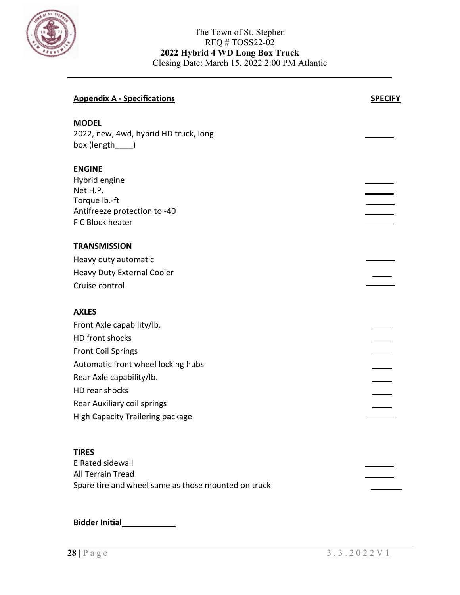

| <b>Appendix A - Specifications</b>                                        | <b>SPECIFY</b> |
|---------------------------------------------------------------------------|----------------|
| <b>MODEL</b><br>2022, new, 4wd, hybrid HD truck, long<br>box (length____) |                |
| <b>ENGINE</b>                                                             |                |
| Hybrid engine                                                             |                |
| Net H.P.<br>Torque lb.-ft                                                 |                |
| Antifreeze protection to -40                                              |                |
| F C Block heater                                                          |                |
| <b>TRANSMISSION</b>                                                       |                |
| Heavy duty automatic                                                      |                |
| <b>Heavy Duty External Cooler</b>                                         |                |
| Cruise control                                                            |                |
| <b>AXLES</b>                                                              |                |
| Front Axle capability/lb.                                                 |                |
| HD front shocks                                                           |                |
| <b>Front Coil Springs</b>                                                 |                |
| Automatic front wheel locking hubs                                        |                |
| Rear Axle capability/lb.                                                  |                |
| HD rear shocks                                                            |                |
| Rear Auxiliary coil springs                                               |                |
| <b>High Capacity Trailering package</b>                                   |                |
|                                                                           |                |
| <b>TIRES</b>                                                              |                |
| E Rated sidewall<br>All Terrain Tread                                     |                |
| Spare tire and wheel same as those mounted on truck                       |                |
|                                                                           |                |

**Bidder Initial**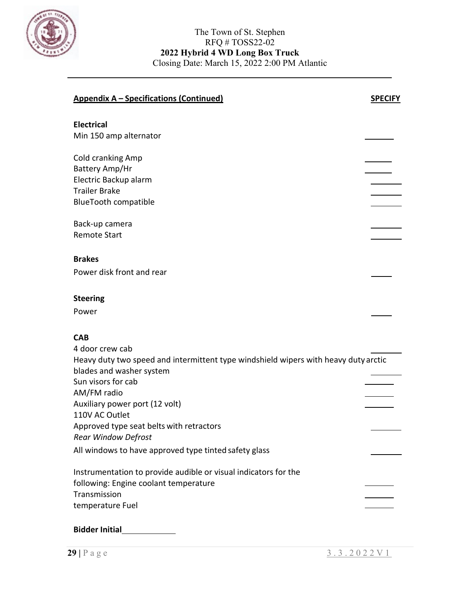

| <b>Appendix A - Specifications (Continued)</b>                                                                                     | <b>SPECIFY</b> |
|------------------------------------------------------------------------------------------------------------------------------------|----------------|
| <b>Electrical</b><br>Min 150 amp alternator                                                                                        |                |
| Cold cranking Amp<br>Battery Amp/Hr                                                                                                |                |
| Electric Backup alarm<br><b>Trailer Brake</b>                                                                                      |                |
| <b>BlueTooth compatible</b>                                                                                                        |                |
| Back-up camera<br><b>Remote Start</b>                                                                                              |                |
| <b>Brakes</b>                                                                                                                      |                |
| Power disk front and rear                                                                                                          |                |
| <b>Steering</b>                                                                                                                    |                |
| Power                                                                                                                              |                |
| <b>CAB</b>                                                                                                                         |                |
| 4 door crew cab<br>Heavy duty two speed and intermittent type windshield wipers with heavy duty arctic<br>blades and washer system |                |
| Sun visors for cab<br>AM/FM radio                                                                                                  |                |
| Auxiliary power port (12 volt)                                                                                                     |                |
| 110V AC Outlet<br>Approved type seat belts with retractors<br><b>Rear Window Defrost</b>                                           |                |
| All windows to have approved type tinted safety glass                                                                              |                |
| Instrumentation to provide audible or visual indicators for the<br>following: Engine coolant temperature<br>Transmission           |                |
| temperature Fuel                                                                                                                   |                |
| <b>Bidder Initial</b>                                                                                                              |                |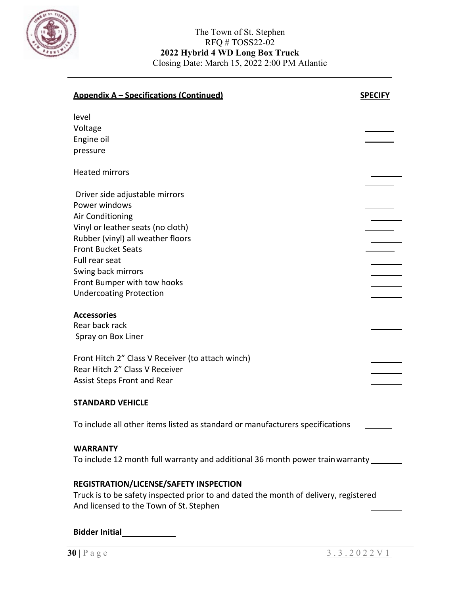

| <u><b>Appendix A – Specifications (Continued)</b></u>                                                                                                                                                                                                                               | <b>SPECIFY</b> |
|-------------------------------------------------------------------------------------------------------------------------------------------------------------------------------------------------------------------------------------------------------------------------------------|----------------|
| level<br>Voltage<br>Engine oil<br>pressure                                                                                                                                                                                                                                          |                |
| <b>Heated mirrors</b>                                                                                                                                                                                                                                                               |                |
| Driver side adjustable mirrors<br>Power windows<br>Air Conditioning<br>Vinyl or leather seats (no cloth)<br>Rubber (vinyl) all weather floors<br><b>Front Bucket Seats</b><br>Full rear seat<br>Swing back mirrors<br>Front Bumper with tow hooks<br><b>Undercoating Protection</b> |                |
| <b>Accessories</b><br>Rear back rack<br>Spray on Box Liner                                                                                                                                                                                                                          |                |
| Front Hitch 2" Class V Receiver (to attach winch)<br>Rear Hitch 2" Class V Receiver<br><b>Assist Steps Front and Rear</b>                                                                                                                                                           |                |
| <b>STANDARD VEHICLE</b>                                                                                                                                                                                                                                                             |                |
| To include all other items listed as standard or manufacturers specifications                                                                                                                                                                                                       |                |
| <b>WARRANTY</b><br>To include 12 month full warranty and additional 36 month power train warranty ______                                                                                                                                                                            |                |
| REGISTRATION/LICENSE/SAFETY INSPECTION<br>Truck is to be safety inspected prior to and dated the month of delivery, registered<br>And licensed to the Town of St. Stephen                                                                                                           |                |

**Bidder Initial**